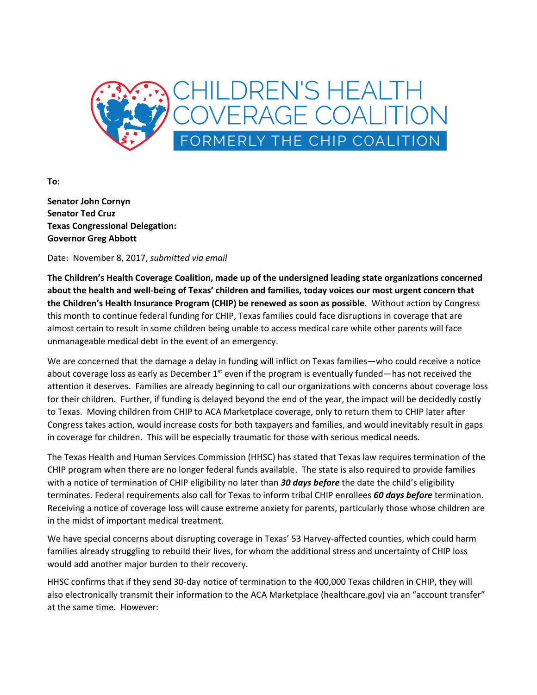

**To:**

**Senator John Cornyn Senator Ted Cruz Texas Congressional Delegation: Governor Greg Abbott**

Date: November 8, 2017, *submitted via email*

**The Children's Health Coverage Coalition, made up of the undersigned leading state organizations concerned about the health and well-being of Texas' children and families, today voices our most urgent concern that the Children's Health Insurance Program (CHIP) be renewed as soon as possible.** Without action by Congress this month to continue federal funding for CHIP, Texas families could face disruptions in coverage that are almost certain to result in some children being unable to access medical care while other parents will face unmanageable medical debt in the event of an emergency.

We are concerned that the damage a delay in funding will inflict on Texas families—who could receive a notice about coverage loss as early as December  $1<sup>st</sup>$  even if the program is eventually funded—has not received the attention it deserves. Families are already beginning to call our organizations with concerns about coverage loss for their children. Further, if funding is delayed beyond the end of the year, the impact will be decidedly costly to Texas. Moving children from CHIP to ACA Marketplace coverage, only to return them to CHIP later after Congress takes action, would increase costs for both taxpayers and families, and would inevitably result in gaps in coverage for children. This will be especially traumatic for those with serious medical needs.

The Texas Health and Human Services Commission (HHSC) has stated that Texas law requires termination of the CHIP program when there are no longer federal funds available. The state is also required to provide families with a notice of termination of CHIP eligibility no later than *30 days before* the date the child's eligibility terminates. Federal requirements also call for Texas to inform tribal CHIP enrollees *60 days before* termination. Receiving a notice of coverage loss will cause extreme anxiety for parents, particularly those whose children are in the midst of important medical treatment.

We have special concerns about disrupting coverage in Texas' 53 Harvey-affected counties, which could harm families already struggling to rebuild their lives, for whom the additional stress and uncertainty of CHIP loss would add another major burden to their recovery.

HHSC confirms that if they send 30-day notice of termination to the 400,000 Texas children in CHIP, they will also electronically transmit their information to the ACA Marketplace (healthcare.gov) via an "account transfer" at the same time. However: